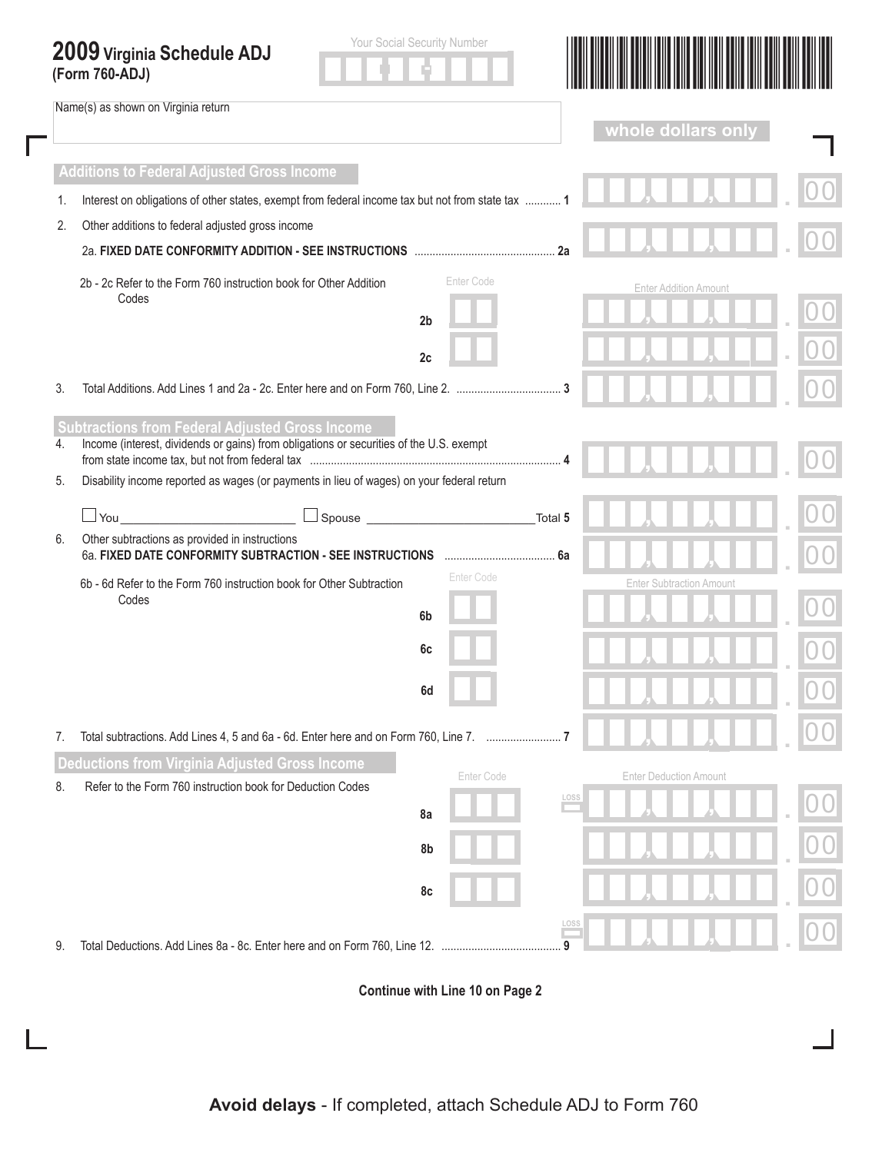## **2009 Virginia Schedule ADJ**

Name(s) as shown on Virginia return

Г





 $\mathbf{I}$ 

|    |                                                                                                                                                   |                |         | whole dollars only              |  |  |
|----|---------------------------------------------------------------------------------------------------------------------------------------------------|----------------|---------|---------------------------------|--|--|
|    | <b>Additions to Federal Adjusted Gross Income</b>                                                                                                 |                |         |                                 |  |  |
| 1. | Interest on obligations of other states, exempt from federal income tax but not from state tax  1                                                 |                |         |                                 |  |  |
| 2. | Other additions to federal adjusted gross income                                                                                                  |                |         |                                 |  |  |
|    |                                                                                                                                                   |                |         |                                 |  |  |
|    | 2b - 2c Refer to the Form 760 instruction book for Other Addition<br>Codes                                                                        | Enter Code     |         | <b>Enter Addition Amount</b>    |  |  |
|    |                                                                                                                                                   | 2 <sub>b</sub> |         |                                 |  |  |
|    |                                                                                                                                                   | 2c             |         |                                 |  |  |
| 3. |                                                                                                                                                   |                |         |                                 |  |  |
| 4. | <b>Subtractions from Federal Adjusted Gross Income</b><br>Income (interest, dividends or gains) from obligations or securities of the U.S. exempt |                |         |                                 |  |  |
| 5. | Disability income reported as wages (or payments in lieu of wages) on your federal return                                                         |                |         |                                 |  |  |
|    | $\Box$ You $\Box$                                                                                                                                 | $\Box$ Spouse  | Total 5 |                                 |  |  |
| 6. | Other subtractions as provided in instructions<br>6a. FIXED DATE CONFORMITY SUBTRACTION - SEE INSTRUCTIONS                                        |                |         |                                 |  |  |
|    | 6b - 6d Refer to the Form 760 instruction book for Other Subtraction                                                                              | Enter Code     |         | <b>Enter Subtraction Amount</b> |  |  |
|    | Codes                                                                                                                                             | 6b             |         |                                 |  |  |
|    |                                                                                                                                                   | 6c             |         |                                 |  |  |
|    |                                                                                                                                                   | 6d             |         |                                 |  |  |
| 7. |                                                                                                                                                   |                |         |                                 |  |  |
| 8. | eductions from Virginia Adjusted Gross Income<br>Refer to the Form 760 instruction book for Deduction Codes                                       | Enter Code     |         | <b>Enter Deduction Amount</b>   |  |  |
|    |                                                                                                                                                   | 8a             | LOSS    |                                 |  |  |
|    |                                                                                                                                                   | 8b             |         |                                 |  |  |
|    |                                                                                                                                                   | 8c             |         |                                 |  |  |
| 9. |                                                                                                                                                   |                | 9       |                                 |  |  |

**Continue with Line 10 on Page 2**